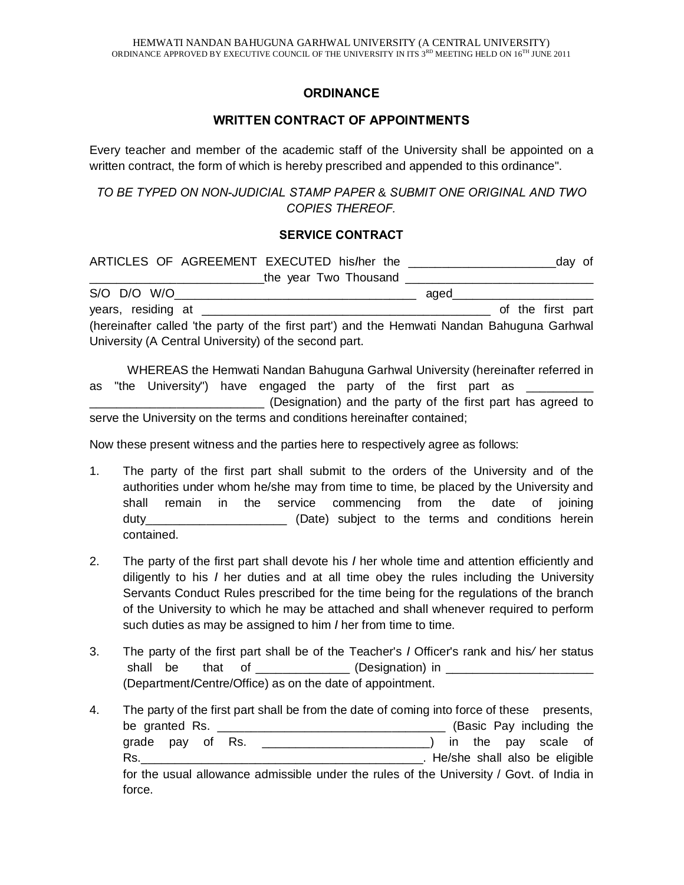## **ORDINANCE**

## **WRITTEN CONTRACT OF APPOINTMENTS**

Every teacher and member of the academic staff of the University shall be appointed on a written contract, the form of which is hereby prescribed and appended to this ordinance".

*TO BE TYPED ON NON-JUDICIAL STAMP PAPER* & *SUBMIT ONE ORIGINAL AND TWO COPIES THEREOF.*

## **SERVICE CONTRACT**

| ARTICLES OF AGREEMENT EXECUTED his/her the                                                                                                                                                                                     | day of<br><u> 1989 - Jan Sammer, mars and de film and de film and de film and de film and de film and de film and de film a</u> |
|--------------------------------------------------------------------------------------------------------------------------------------------------------------------------------------------------------------------------------|---------------------------------------------------------------------------------------------------------------------------------|
| the year Two Thousand                                                                                                                                                                                                          |                                                                                                                                 |
|                                                                                                                                                                                                                                | aqed and the state of the state of the state of the state of the state of the state of the state of the state o                 |
| years, residing at the state of the state of the state of the state of the state of the state of the state of the state of the state of the state of the state of the state of the state of the state of the state of the stat | of the first part                                                                                                               |
| (hereinafter called 'the party of the first part') and the Hemwati Nandan Bahuguna Garhwal                                                                                                                                     |                                                                                                                                 |
| University (A Central University) of the second part.                                                                                                                                                                          |                                                                                                                                 |

WHEREAS the Hemwati Nandan Bahuguna Garhwal University (hereinafter referred in as "the University") have engaged the party of the first part as \_\_\_\_\_\_\_\_\_\_\_\_\_\_\_ \_\_\_\_\_\_\_\_\_\_\_\_\_\_\_\_\_\_\_\_\_\_\_\_\_\_ (Designation) and the party of the first part has agreed to serve the University on the terms and conditions hereinafter contained;

Now these present witness and the parties here to respectively agree as follows:

- 1. The party of the first part shall submit to the orders of the University and of the authorities under whom he/she may from time to time, be placed by the University and shall remain in the service commencing from the date of joining duty **duty duty** (Date) subject to the terms and conditions herein contained.
- 2. The party of the first part shall devote his *I* her whole time and attention efficiently and diligently to his *I* her duties and at all time obey the rules including the University Servants Conduct Rules prescribed for the time being for the regulations of the branch of the University to which he may be attached and shall whenever required to perform such duties as may be assigned to him *I* her from time to time.
- 3. The party of the first part shall be of the Teacher's *I* Officer's rank and his*/* her status shall be that of \_\_\_\_\_\_\_\_\_\_\_\_\_\_\_ (Designation) in \_\_\_\_\_\_\_\_\_\_\_ (Department*I*Centre/Office) as on the date of appointment.
- 4. The party of the first part shall be from the date of coming into force of these presents, be granted Rs. \_\_\_\_\_\_\_\_\_\_\_\_\_\_\_\_\_\_\_\_\_\_\_\_\_\_\_\_\_\_\_\_\_\_ (Basic Pay including the grade pay of Rs. \_\_\_\_\_\_\_\_\_\_\_\_\_\_\_\_\_\_\_\_\_\_\_\_\_\_\_) in the pay scale of Rs. The contract of the contract of the contract of the contract of the contract of the contract of the contract of the contract of the contract of the contract of the contract of the contract of the contract of the contra for the usual allowance admissible under the rules of the University / Govt. of India in force.